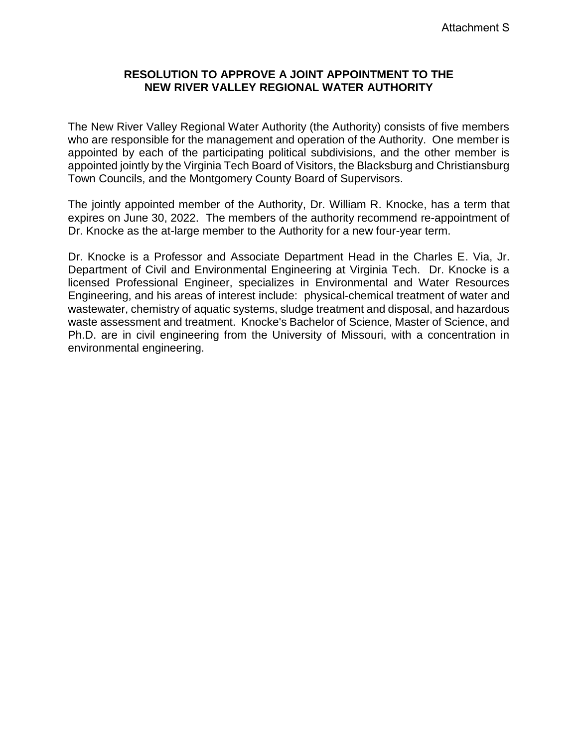## **RESOLUTION TO APPROVE A JOINT APPOINTMENT TO THE NEW RIVER VALLEY REGIONAL WATER AUTHORITY**

The New River Valley Regional Water Authority (the Authority) consists of five members who are responsible for the management and operation of the Authority. One member is appointed by each of the participating political subdivisions, and the other member is appointed jointly by the Virginia Tech Board of Visitors, the Blacksburg and Christiansburg Town Councils, and the Montgomery County Board of Supervisors.

The jointly appointed member of the Authority, Dr. William R. Knocke, has a term that expires on June 30, 2022. The members of the authority recommend re-appointment of Dr. Knocke as the at-large member to the Authority for a new four-year term.

Dr. Knocke is a Professor and Associate Department Head in the Charles E. Via, Jr. Department of Civil and Environmental Engineering at Virginia Tech. Dr. Knocke is a licensed Professional Engineer, specializes in Environmental and Water Resources Engineering, and his areas of interest include: physical-chemical treatment of water and wastewater, chemistry of aquatic systems, sludge treatment and disposal, and hazardous waste assessment and treatment. Knocke's Bachelor of Science, Master of Science, and Ph.D. are in civil engineering from the University of Missouri, with a concentration in environmental engineering.